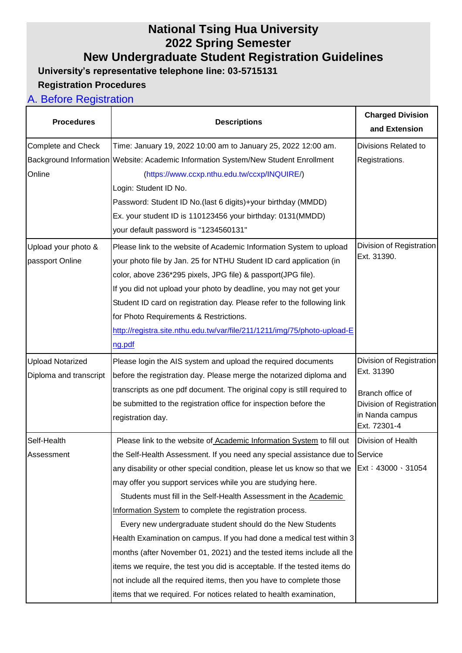# **National Tsing Hua University 2022 Spring Semester**

**New Undergraduate Student Registration Guidelines**

**University's representative telephone line: 03-5715131**

### **Registration Procedures**

### A. Before Registration

| <b>Procedures</b>       | <b>Descriptions</b>                                                                           | <b>Charged Division</b><br>and Extension |
|-------------------------|-----------------------------------------------------------------------------------------------|------------------------------------------|
| Complete and Check      | Time: January 19, 2022 10:00 am to January 25, 2022 12:00 am.                                 | Divisions Related to                     |
|                         | Background Information Website: Academic Information System/New Student Enrollment            | Registrations.                           |
| Online                  | (https://www.ccxp.nthu.edu.tw/ccxp/INQUIRE/)                                                  |                                          |
|                         | Login: Student ID No.                                                                         |                                          |
|                         | Password: Student ID No.(last 6 digits)+your birthday (MMDD)                                  |                                          |
|                         | Ex. your student ID is 110123456 your birthday: 0131(MMDD)                                    |                                          |
|                         | your default password is "1234560131"                                                         |                                          |
| Upload your photo &     | Please link to the website of Academic Information System to upload                           | Division of Registration                 |
| passport Online         | your photo file by Jan. 25 for NTHU Student ID card application (in                           | Ext. 31390.                              |
|                         | color, above 236*295 pixels, JPG file) & passport(JPG file).                                  |                                          |
|                         | If you did not upload your photo by deadline, you may not get your                            |                                          |
|                         | Student ID card on registration day. Please refer to the following link                       |                                          |
|                         | for Photo Requirements & Restrictions.                                                        |                                          |
|                         | http://registra.site.nthu.edu.tw/var/file/211/1211/img/75/photo-upload-E                      |                                          |
|                         | ng.pdf                                                                                        |                                          |
| <b>Upload Notarized</b> | Please login the AIS system and upload the required documents                                 | Division of Registration                 |
| Diploma and transcript  | before the registration day. Please merge the notarized diploma and                           | Ext. 31390                               |
|                         | transcripts as one pdf document. The original copy is still required to                       | Branch office of                         |
|                         | be submitted to the registration office for inspection before the                             | Division of Registration                 |
|                         | registration day.                                                                             | in Nanda campus<br>Ext. 72301-4          |
| Self-Health             | Please link to the website of Academic Information System to fill out                         | Division of Health                       |
| Assessment              | the Self-Health Assessment. If you need any special assistance due to Service                 |                                          |
|                         | any disability or other special condition, please let us know so that we   Ext: 43000 \ 31054 |                                          |
|                         | may offer you support services while you are studying here.                                   |                                          |
|                         | Students must fill in the Self-Health Assessment in the Academic                              |                                          |
|                         | Information System to complete the registration process.                                      |                                          |
|                         | Every new undergraduate student should do the New Students                                    |                                          |
|                         | Health Examination on campus. If you had done a medical test within 3                         |                                          |
|                         | months (after November 01, 2021) and the tested items include all the                         |                                          |
|                         | items we require, the test you did is acceptable. If the tested items do                      |                                          |
|                         | not include all the required items, then you have to complete those                           |                                          |
|                         | items that we required. For notices related to health examination,                            |                                          |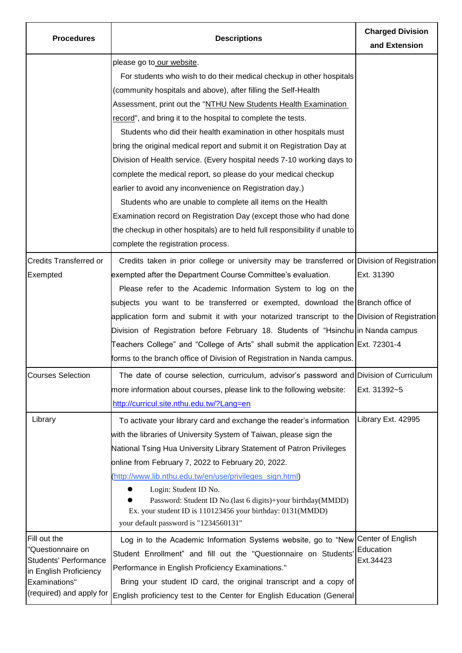| <b>Procedures</b>                                                                                                        | <b>Descriptions</b>                                                                           | <b>Charged Division</b><br>and Extension |
|--------------------------------------------------------------------------------------------------------------------------|-----------------------------------------------------------------------------------------------|------------------------------------------|
|                                                                                                                          | please go to our website.                                                                     |                                          |
|                                                                                                                          | For students who wish to do their medical checkup in other hospitals                          |                                          |
|                                                                                                                          | (community hospitals and above), after filling the Self-Health                                |                                          |
|                                                                                                                          | Assessment, print out the "NTHU New Students Health Examination                               |                                          |
|                                                                                                                          | record", and bring it to the hospital to complete the tests.                                  |                                          |
|                                                                                                                          | Students who did their health examination in other hospitals must                             |                                          |
|                                                                                                                          | bring the original medical report and submit it on Registration Day at                        |                                          |
|                                                                                                                          | Division of Health service. (Every hospital needs 7-10 working days to                        |                                          |
|                                                                                                                          | complete the medical report, so please do your medical checkup                                |                                          |
|                                                                                                                          | earlier to avoid any inconvenience on Registration day.)                                      |                                          |
|                                                                                                                          | Students who are unable to complete all items on the Health                                   |                                          |
|                                                                                                                          | Examination record on Registration Day (except those who had done                             |                                          |
|                                                                                                                          | the checkup in other hospitals) are to held full responsibility if unable to                  |                                          |
|                                                                                                                          | complete the registration process.                                                            |                                          |
| <b>Credits Transferred or</b>                                                                                            | Credits taken in prior college or university may be transferred or Division of Registration   |                                          |
| Exempted                                                                                                                 | exempted after the Department Course Committee's evaluation.                                  | Ext. 31390                               |
|                                                                                                                          | Please refer to the Academic Information System to log on the                                 |                                          |
|                                                                                                                          | subjects you want to be transferred or exempted, download the Branch office of                |                                          |
|                                                                                                                          | application form and submit it with your notarized transcript to the Division of Registration |                                          |
|                                                                                                                          | Division of Registration before February 18. Students of "Hsinchu in Nanda campus             |                                          |
|                                                                                                                          | Teachers College" and "College of Arts" shall submit the application Ext. 72301-4             |                                          |
|                                                                                                                          | forms to the branch office of Division of Registration in Nanda campus.                       |                                          |
| <b>Courses Selection</b>                                                                                                 | The date of course selection, curriculum, advisor's password and Division of Curriculum       |                                          |
|                                                                                                                          | more information about courses, please link to the following website:                         | Ext. 31392~5                             |
|                                                                                                                          | http://curricul.site.nthu.edu.tw/?Lang=en                                                     |                                          |
| Library                                                                                                                  | To activate your library card and exchange the reader's information                           | Library Ext. 42995                       |
|                                                                                                                          | with the libraries of University System of Taiwan, please sign the                            |                                          |
|                                                                                                                          | National Tsing Hua University Library Statement of Patron Privileges                          |                                          |
|                                                                                                                          | online from February 7, 2022 to February 20, 2022.                                            |                                          |
|                                                                                                                          | (http://www.lib.nthu.edu.tw/en/use/privileges_sign.html)                                      |                                          |
|                                                                                                                          | Login: Student ID No.                                                                         |                                          |
|                                                                                                                          | Password: Student ID No.(last 6 digits)+your birthday(MMDD)                                   |                                          |
|                                                                                                                          | Ex. your student ID is 110123456 your birthday: 0131(MMDD)                                    |                                          |
|                                                                                                                          | your default password is "1234560131"                                                         |                                          |
| Fill out the                                                                                                             | Log in to the Academic Information Systems website, go to "New Center of English              | Education<br>Ext.34423                   |
| "Questionnaire on<br><b>Students' Performance</b><br>in English Proficiency<br>Examinations"<br>(required) and apply for | Student Enrollment" and fill out the "Questionnaire on Students'                              |                                          |
|                                                                                                                          | Performance in English Proficiency Examinations."                                             |                                          |
|                                                                                                                          | Bring your student ID card, the original transcript and a copy of                             |                                          |
|                                                                                                                          | English proficiency test to the Center for English Education (General                         |                                          |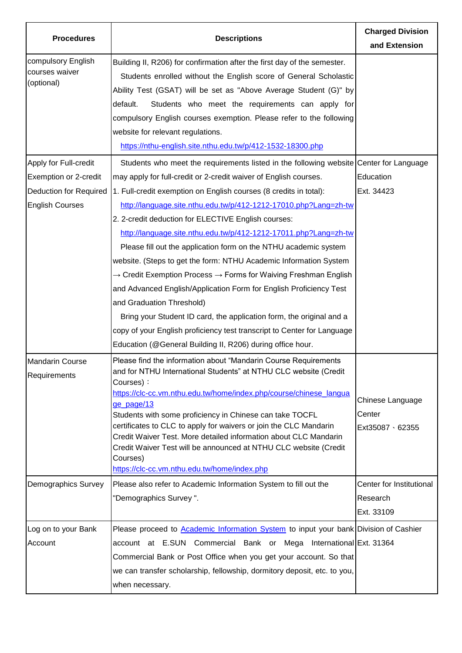| <b>Procedures</b>                                                                                         | <b>Descriptions</b>                                                                                                                                                                                                                                                                                                                                                                                                                                                                                                                                                                                                                                                                                                                                                                                                                                                                                                                                                                    | <b>Charged Division</b><br>and Extension                                                     |
|-----------------------------------------------------------------------------------------------------------|----------------------------------------------------------------------------------------------------------------------------------------------------------------------------------------------------------------------------------------------------------------------------------------------------------------------------------------------------------------------------------------------------------------------------------------------------------------------------------------------------------------------------------------------------------------------------------------------------------------------------------------------------------------------------------------------------------------------------------------------------------------------------------------------------------------------------------------------------------------------------------------------------------------------------------------------------------------------------------------|----------------------------------------------------------------------------------------------|
| compulsory English<br>courses waiver<br>(optional)                                                        | Building II, R206) for confirmation after the first day of the semester.<br>Students enrolled without the English score of General Scholastic<br>Ability Test (GSAT) will be set as "Above Average Student (G)" by<br>default.<br>Students who meet the requirements can apply for<br>compulsory English courses exemption. Please refer to the following<br>website for relevant regulations.<br>https://nthu-english.site.nthu.edu.tw/p/412-1532-18300.php                                                                                                                                                                                                                                                                                                                                                                                                                                                                                                                           |                                                                                              |
| Apply for Full-credit<br>Exemption or 2-credit<br><b>Deduction for Required</b><br><b>English Courses</b> | Students who meet the requirements listed in the following website Center for Language<br>may apply for full-credit or 2-credit waiver of English courses.<br>1. Full-credit exemption on English courses (8 credits in total):<br>http://language.site.nthu.edu.tw/p/412-1212-17010.php?Lang=zh-tw<br>2. 2-credit deduction for ELECTIVE English courses:<br>http://language.site.nthu.edu.tw/p/412-1212-17011.php?Lang=zh-tw<br>Please fill out the application form on the NTHU academic system<br>website. (Steps to get the form: NTHU Academic Information System<br>$\rightarrow$ Credit Exemption Process $\rightarrow$ Forms for Waiving Freshman English<br>and Advanced English/Application Form for English Proficiency Test<br>and Graduation Threshold)<br>Bring your Student ID card, the application form, the original and a<br>copy of your English proficiency test transcript to Center for Language<br>Education (@General Building II, R206) during office hour. | Education<br>Ext. 34423                                                                      |
| <b>Mandarin Course</b><br>Requirements<br>Demographics Survey                                             | Please find the information about "Mandarin Course Requirements<br>and for NTHU International Students" at NTHU CLC website (Credit<br>Courses):<br>https://clc-cc.vm.nthu.edu.tw/home/index.php/course/chinese_langua<br>ge page/13<br>Students with some proficiency in Chinese can take TOCFL<br>certificates to CLC to apply for waivers or join the CLC Mandarin<br>Credit Waiver Test. More detailed information about CLC Mandarin<br>Credit Waiver Test will be announced at NTHU CLC website (Credit<br>Courses)<br>https://clc-cc.vm.nthu.edu.tw/home/index.php<br>Please also refer to Academic Information System to fill out the<br>"Demographics Survey".                                                                                                                                                                                                                                                                                                                | Chinese Language<br>Center<br>$Ext35087 \cdot 62355$<br>Center for Institutional<br>Research |
| Log on to your Bank<br>Account                                                                            | Please proceed to Academic Information System to input your bank Division of Cashier<br>account at E.SUN Commercial Bank or Mega International Ext. 31364<br>Commercial Bank or Post Office when you get your account. So that<br>we can transfer scholarship, fellowship, dormitory deposit, etc. to you,<br>when necessary.                                                                                                                                                                                                                                                                                                                                                                                                                                                                                                                                                                                                                                                          | Ext. 33109                                                                                   |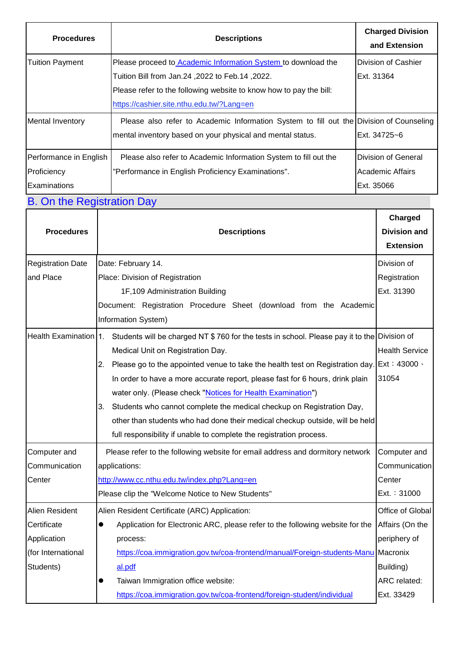| <b>Procedures</b>       | <b>Descriptions</b>                                                                     | <b>Charged Division</b><br>and Extension |
|-------------------------|-----------------------------------------------------------------------------------------|------------------------------------------|
| <b>Tuition Payment</b>  | Please proceed to <b>Academic Information System</b> to download the                    | Division of Cashier                      |
|                         | .2022, Tuition Bill from Jan.24, 2022 to Feb.14                                         | Ext. 31364                               |
|                         | Please refer to the following website to know how to pay the bill:                      |                                          |
|                         | https://cashier.site.nthu.edu.tw/?Lang=en                                               |                                          |
| <b>Mental Inventory</b> | Please also refer to Academic Information System to fill out the Division of Counseling |                                          |
|                         | mental inventory based on your physical and mental status.                              | Ext. 34725~6                             |
| Performance in English  | Please also refer to Academic Information System to fill out the                        | Division of General                      |
| Proficiency             | "Performance in English Proficiency Examinations".                                      | Academic Affairs                         |
| Examinations            |                                                                                         | Ext. 35066                               |

## B. On the Registration Day

| <b>Procedures</b>        | <b>Descriptions</b>                                                                                               | Charged<br><b>Division and</b><br><b>Extension</b> |
|--------------------------|-------------------------------------------------------------------------------------------------------------------|----------------------------------------------------|
| <b>Registration Date</b> | Date: February 14.                                                                                                | Division of                                        |
| and Place                | Place: Division of Registration                                                                                   | Registration                                       |
|                          | 1F,109 Administration Building                                                                                    | Ext. 31390                                         |
|                          | Document: Registration Procedure Sheet (download from the Academic                                                |                                                    |
|                          | Information System)                                                                                               |                                                    |
|                          | Health Examination 1. Students will be charged NT \$760 for the tests in school. Please pay it to the Division of |                                                    |
|                          | Medical Unit on Registration Day.                                                                                 | <b>Health Service</b>                              |
|                          | Please go to the appointed venue to take the health test on Registration day.<br>2.                               | Ext: 43000.                                        |
|                          | In order to have a more accurate report, please fast for 6 hours, drink plain                                     | 31054                                              |
|                          | water only. (Please check "Notices for Health Examination")                                                       |                                                    |
|                          | Students who cannot complete the medical checkup on Registration Day,<br>3.                                       |                                                    |
|                          | other than students who had done their medical checkup outside, will be held                                      |                                                    |
|                          | full responsibility if unable to complete the registration process.                                               |                                                    |
| Computer and             | Please refer to the following website for email address and dormitory network                                     | Computer and                                       |
| Communication            | applications:                                                                                                     | Communication                                      |
| Center                   | http://www.cc.nthu.edu.tw/index.php?Lang=en                                                                       | Center                                             |
|                          | Please clip the "Welcome Notice to New Students"                                                                  | Ext.: 31000                                        |
| Alien Resident           | Alien Resident Certificate (ARC) Application:                                                                     | Office of Global                                   |
| Certificate              | Application for Electronic ARC, please refer to the following website for the<br>$\bullet$                        | Affairs (On the                                    |
| Application              | process:                                                                                                          | periphery of                                       |
| (for International       | https://coa.immigration.gov.tw/coa-frontend/manual/Foreign-students-Manu                                          | Macronix                                           |
| Students)                | al.pdf                                                                                                            | Building)                                          |
|                          | Taiwan Immigration office website:<br>œ                                                                           | ARC related:                                       |
|                          | https://coa.immigration.gov.tw/coa-frontend/foreign-student/individual                                            | Ext. 33429                                         |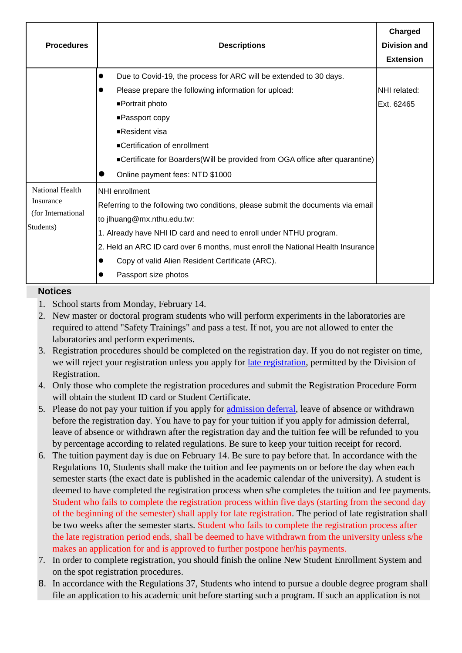|                                                                  |                                                                                  | Charged             |
|------------------------------------------------------------------|----------------------------------------------------------------------------------|---------------------|
| <b>Procedures</b>                                                | <b>Descriptions</b>                                                              | <b>Division and</b> |
|                                                                  |                                                                                  | <b>Extension</b>    |
|                                                                  | Due to Covid-19, the process for ARC will be extended to 30 days.<br>$\bullet$   |                     |
|                                                                  | Please prepare the following information for upload:                             | NHI related:        |
|                                                                  | ■Portrait photo                                                                  | Ext. 62465          |
|                                                                  | ■Passport copy                                                                   |                     |
|                                                                  | ■Resident visa                                                                   |                     |
|                                                                  | ■Certification of enrollment                                                     |                     |
|                                                                  | ■Certificate for Boarders (Will be provided from OGA office after quarantine)    |                     |
|                                                                  | Online payment fees: NTD \$1000                                                  |                     |
| National Health<br>Insurance<br>(for International)<br>Students) | NHI enrollment                                                                   |                     |
|                                                                  | Referring to the following two conditions, please submit the documents via email |                     |
|                                                                  | to jlhuang@mx.nthu.edu.tw:                                                       |                     |
|                                                                  | 1. Already have NHI ID card and need to enroll under NTHU program.               |                     |
|                                                                  | 2. Held an ARC ID card over 6 months, must enroll the National Health Insurance  |                     |
|                                                                  | Copy of valid Alien Resident Certificate (ARC).<br>$\bullet$                     |                     |
|                                                                  | Passport size photos                                                             |                     |

#### **Notices**

- 1. School starts from Monday, February 14.
- 2. New master or doctoral program students who will perform experiments in the laboratories are required to attend "Safety Trainings" and pass a test. If not, you are not allowed to enter the laboratories and perform experiments.
- 3. Registration procedures should be completed on the registration day. If you do not register on time, we will reject your registration unless you apply for [late registration,](http://registra.site.nthu.edu.tw/p/412-1211-16206.php?Lang=en) permitted by the Division of Registration.
- 4. Only those who complete the registration procedures and submit the Registration Procedure Form will obtain the student ID card or Student Certificate.
- 5. Please do not pay your tuition if you apply for [admission deferral,](http://registra.site.nthu.edu.tw/p/412-1211-16206.php?Lang=en) leave of absence or withdrawn before the registration day. You have to pay for your tuition if you apply for admission deferral, leave of absence or withdrawn after the registration day and the tuition fee will be refunded to you by percentage according to related regulations. Be sure to keep your tuition receipt for record.
- 6. The tuition payment day is due on February 14. Be sure to pay before that. In accordance with the Regulations 10, Students shall make the tuition and fee payments on or before the day when each semester starts (the exact date is published in the academic calendar of the university). A student is deemed to have completed the registration process when s/he completes the tuition and fee payments. Student who fails to complete the registration process within five days (starting from the second day of the beginning of the semester) shall apply for late registration. The period of late registration shall be two weeks after the semester starts. Student who fails to complete the registration process after the late registration period ends, shall be deemed to have withdrawn from the university unless s/he makes an application for and is approved to further postpone her/his payments.
- 7. In order to complete registration, you should finish the online New Student Enrollment System and on the spot registration procedures.
- 8. In accordance with the Regulations 37, Students who intend to pursue a double degree program shall file an application to his academic unit before starting such a program. If such an application is not